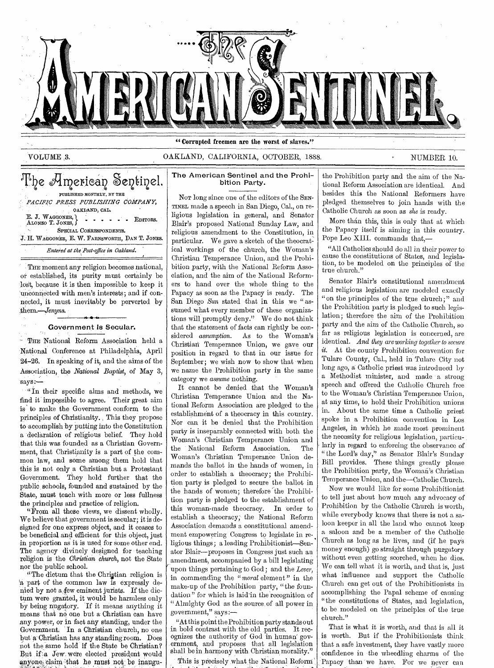

# VOLUME ,3. OAKLAND, CALIFORNIA, OCTOBER, 1888. NUMBER 10.

# The American Sentinel. PUBLISHED MONTHLY, BY THE *PACIFIC PRESS PUBLISHING COMPANY,*  OAKLAND, CAL. E. J. WAGGONER,<br>ALONZO T. JONES, SPECIAL CORRESPONDENTS. J. H. WAGGONER, E. W. FARNSWORTH, DAN T. JONES. EDITORS.

*Entered at the Post-office in Oakland.* 

The moment any religion becomes national, or established, its purity must certainly be 'lost, because it is then impossible to keep it `unconnected' with men's interests; and if connected, it must inevitably be perverted by them.-Jenyns. **N • 4.** 

# Government Is Secular.

THE National. Reform Association held a National Conference at Philadelphia, April 24-26. In speaking of it, and the aims of the Association, the *National Baptist,* of May 3, says:—

" In their specific aims and methods, we find it impossible to agree. Their great aim is to make the Government conform to the principles of Christianity. , This they propose to accomplish by putting into the Constitution a declaration of religious belief. They hold that this was founded as a Christian Government, that Christianity is a part of the common law, and some among them hold that this is not only a Christian but a Protestant Government. They hold further that the public schools, founded and sustained by the State, must teach with more or less fullness the principles and practice of religion.

"From all these views, we dissent wholly. We believe that government is secular; it is designed for one express object, and it ceases to be beneficial and efficient for this object, just in proportion as it is used for some other end. The agency divinely designed for teaching religion is the *Christian church,* not the State nor the public school.

"The dictum that the Christian religion is `a part of the common law is expressly denied by not a.few eminent jurists. If the dictum were granted, it would be harmless only by being nugatory. If it means anything it means that no one but a Christian can have any power, or in fact any standing, under the Government: • In a Christian church, no one but a Christian has any standing room. Does not the same hold if the State be Christian? But if a Jew were elected president would znyone, claim 'that be must not be inangu-

### The American Sentinel and the Prohibition Party.

Nor long since one of the editors of the SEN-TINEL made a speech in San Diego, Cal., on religious legislation in general, and Senator Blair's proposed National Sunday Law, and religious amendment to the Constitution, in particular. We gave a sketch of the theocratical workings of the church, the Woman's Christian Temperance Union, and the Prohibition party, with the National Reform Association, and the aim of the National Reformers to hand over the whole thing to the Papacy as soon as the Papacy is ready. The San Diego *Sun* stated that in this we " assumed what every member of these organizations will promptly deny." We do not think that the statement of facts can rightly be considered *assumption.* As to the Woman's Christian Temperance Union, we gave our position in regard to that in our issue for September; we wish now to show that when we name the Prohibition party in the same category we *assume* nothing.

It cannot be denied that the Woman's Christian Temperance Union and the National Reform Association are pledged to the establishment of a theocracy in this country. Nor can it be denied that the Prohibition party is inseparably connected with both the Woman's Christian Temperance Union and the National Reform Association. The Woman's Christian Temperance Union demands the ballot in the hands of women, in order to establish a theocracy; the Prohibition party is pledged to secure the ballot in the hands of women; therefore the Prohibition party is pledged to the establishment of this woman-made theocracy. In order to establish a theocracy, the National Reform Association demands a constitutional amendment empowering Congress to legislate in religious things; a leading Prohibitionist—Senator Blair—proposes in Congress just such an amendment, accompanied by a bill legislating *<sup>r</sup>*upon things pertaining to God ; and the *Lever,*  in commending the *"moral* element" in the make-up of the Prohibition party, "the foundation" for which is laid in the recognition of "Almighty God as the source, of all power in government," says :—

"At this point the Prohibition party stands out in bold contrast with the old parties. It recognizes the authority of God in human' governinent, and proposes that all legislation shall be in harmony with. Christian morality."

This is precisely what the National Reform

the Prohibition party and the aim of the National Reform Association are identical. And besides this the National Reformers have pledged themselves to join hands with the Catholic Church as soon as *she* is ready.

More than this, this is only that at which the Papacy itself is aiming in this country. Pope Leo XIII. commands that,—

"All Catholics should do all in their power to cause the constitutions of States, and legislation, to be modeled on the principles of the true church."

Senator Blair's constitutional amendment and religious legislation are modeled exactly "on the principles of the true church;" and the Prohibition party is pledged to such legislation; therefore the aim of the Prohibition party and the aim of the Catholic. Church, so far as religious legislation is concerned, are identical. *And they are working together to secure it.* At the county Prohibition convention for Tulare County, Cal., held in Tulare City not long ago, *a* Catholic priest was introduced by a Methodist minister, and made a strong speech and offered the Catholic Church free to the Woman's Christian Temperance Union, at any time, to hold their Prohibition unions in. About the same time a Catholic priest spoke in a Prohibition convention in Los Angeles, in which he made most prominent the necessity for religious legislation, particularly in regard to enforcing the observance of "the Lord's day," as Senator Blair's Sunday Bill provides. These things greatly please the Prohibition party, the Woman's Christian Temperance Union, and the--Catholic Church.

Now we would like for some Prohibitionist to tell just about how much any advocacy of Prohibition by the Catholic Church is worth, while everybody knows that there is not a saloon keeper in all the land who cannot keep a saloon and be a member of the Catholic Church as long as he lives, and (if he pays money enough) go straight through purgatory without even getting scorched, when he dies. We can tell what it is worth, and that is, just what influence and support the Catholic Church can get out of the Prohibitionists in accomplishing the Papal scheme of causing "the constitutions of States, and legislation, to be modeled on the principles of the true church."

That is what it is worth, and that is all it is worth. But if the Prohibitionists think that a safe investment, they have vastly more confidence in the wheedling charms of the Papacy than we have. For we never can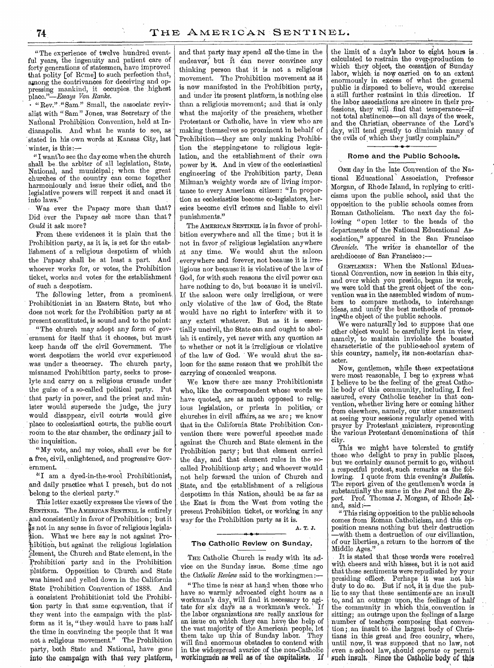"The experience of twelve hundred eventful years, the ingenuity and patient care of forty generations of statesmen, have improved that polity [of Rcme] to such perfection that, among the contrivances for deceiving and oppressing mankind, it occupies. the highest place."—Essays *Von Ranke.* 

• "Rev." "Sam," Small, the associate revivalist with "Sam" Jones, was Secretary of the National Prohibition Convention, held at Indianapolis. And what he wants to see, as stated in his own words at Kansas City, last winter, is this

I wantto see the day come when the church shall be the arbiter of all legislation, State, National, and municipal; when the great churches of the country can come together harmoniously and issue their edict, and the legislative powers will respect it and enact it into laws."

Was ever the Papacy more than that? Did ever the Papacy *ask* more than that? *Could* it ask more?

From these evidences it is plain that the Prohibition party, as it is, is set for the establishment of a religious despotism of which the Papacy, shall be at least a part. And whoever works for, or votes, the Prohibition ticket, works and votes for the establishment of such a despotism.

The following letter, from a prominent Prohibitionist in an Eastern State, but who does not work for the Prohibition party as at present constituted, is sound and to the point:

"The church may adopt any form of government for itself that it chooses, but must keep hands off the civil Government. The worst despotism the world ever experienced was under a theocracy. The church party, misnamed Prohibition party, seeks to proselyte and carry on a religious crusade under the guise of a so-called political party. Put that party in power, and the priest and minister would supersede the judge, the jury would disappear, civil courts would give place to ecclesiastical courts, the public court room to the star chamber, the ordinary jail to -the inquisition.

"My vote, and my voice, shall ever be for a free, civil, enlightened, and progressive Government.

"I am a dyed-in-the-wool Prohibitionist, and daily practice what I preach, but do not belong to the clerical party."

This letter exactly expresses the views of the SENTINEL. The AMERICAN SENTINEL is entirely and consistently in favor of Prohibition; but it not in any sense in favor of religious legislation. What we here say is not against Protibition, but against the religioug legislation f element, the Church and State element, in the Prohibition` party and in the Prohibition platform. Opposition to Church and State was hissed and yelled down in the California State Prohibition Convention of 1888. And consistent Prohibitionist told the Prohibition party in that same copvention, that if they went into the campaign with the plat: form as it is, "they .would have to pass half the time in convincing the people that it was not a religious movement." The Prohibition party, both State and National, have gone into the campaign with that very platform,

and that party may spend all the-time in the endeavor, but it can never convince any thinking person that it is not a religious movement. The Prohibition movement as it is now manifested in the Prohibition party, and under its present platform, is nothing else than a religious movement; and that is only what the majority of the preachers, whether Protestant or Catholic, have in view who are making themselves so prominent in behalf of Prohibition—they are only making Prohibition the stepping-stone to religious legislation, and the establishment of their own power by it. And in view of the ecclesiastical engineering of the Prohibition party, Dean Milman's weighty words are of living importance to every American citizen: "In proportion as ecclesiastics become co-legislators, heresies become civil crimes and liable to civil punishments."

The AMERICAN SENTINEL is in favor of prohibition everywhere and all the time ; but it is not in favor of religious legislation anywhere at any time. We would shut the saloon everywhere and forever; not because it is irreligious nor because it is violative of the law of God, for with such reasons the civil power can have nothing to do, but because it is uncivil. If the saloon were only irreligious, or were only violative of the law of God, the State would have no right to interfere with it to any extent whatever. But as it is essentially,uncivil, the State can and ought to abolish it entirely, yet never with any question as to whether or not it is irreligious or violative of the law of God. We would shut the saloon for the same reason that we prohibit the carrying of concealed weapons.

We know there are many Prohibitionists who, like the correspondent whose words we have quoted, are as much opposed to religious legislation, or priests in politics,' or churches in civil affairs, as we are; we know that in the California State Prohibition Convention there were powerful speeches made against the Church and State element in the Prohibition party ; but that element carried the day, and that element rules in the socalled Prohibitionp arty ; and whoever would not help forward the union of Church and State, and the establishment of a religious despotism in this Nation, should be as far as the East is from the West from voting the present Prohibition ticket, or working in any way' for the Prohibition party as it is.

A. T. J.

#### **44 • -4-**  The Catholic Review on Sunday.

THE Catholic Church is ready with its advice on the Sunday issue. Some time ago the *Catholic Review* said to the workingmen :—

"The time is near at hand when those who have so warmly advocated eight hours as a have so warmly advocated eight hours as a workman's day, will find it necessary to agitate for six day's as a workman's week. the labor organizations are really anxious for an issue on which they can have the help of the vast majority of the American people, let them take up this of Sunday labor. They will find enormous obstacles to contend with in the widespread avarice of the non-Catholic workingmen as well as of the capitalists. If

the limit of a day's labor to eight hours is calculated to restrain the over-production to which they object, the cessation of Sunday labor, which is now carried on to an extent enormously in excess of what the general public is disposed to believe, would exercise a still further restraint in this direction. If the labor associations are sincere in their professions, they will find that temperancenot total abstinence—on all days of the week, and the Christian, observance of the Lord's day, will tend greatly to diminish many of the evils of which they justly complain."

#### Rome and the Public Schools.

ONE day in the late Convention of the National Educational Association, Professor Morgan, of Rhode Island, in replying to criticisms upon the public school, said that the opposition to the public schools comes from Roman Catholicism. The next day the following "open letter to the heads of the departments of the National Educational Association," appeared in the San Francisco *Chronicle.* The writer is chancellor of the archdiocese of San Francisco

GENTLEMEN: When the National Educational Convention, now in session in this city, and over which you preside, began its work, we were told that the great object of the convention was in the assembled wisdom of numbers to compare methods, to interchange ideas, and unify the best methods of promoting'the object of the public schools.

We were naturally led to suppose that one other object would be carefully kept in view, namely, to maintain inviolate the boasted characteristic of the public-school system of this country, namely, its non-sectarian character.

Now, gentlemen, while these expectations were most reasonable, I beg to express what I believe to be the feeling of the great Catholic body of this community, including, I feel assured, every Catholic teacher in that convention, whether living here or coming hither from elsewhere, namely, our utter amazement at seeing your sessions regularly opened with prayer by Protestant ministers, representing the various Protestant denominations of this city.

This we might have tolerated to gratify those who delight to pray in public places, but we certainly cannot permit to go, without a respectful protest, such remarks as the following. I quote from this evening's *Bulletin.*  The report given of the gentlemen's words is substantially the same in the *Post* and the *Report.* Prof. Thomas J. Morgan, of Rhode Island, said

This rising opposition to the public schools comes from Roman Catholicism, and this opposition means nothing but their destruction —with them a destruction of our civilization, of our liberties, a return to the horrors of the Middle Ages."

It is stated that these words were received with cheers and with hisses, but it is not said that these sentiments were repudiated by your presiding officet. Perhaps it was not his duty to do so. But if not, it is due the public to say that these sentiments' are an insult to, and an outrage upon, the feelings of half the community in which this, convention is sitting; an outrage upon the feelings of a large number of teachers composing that convention ; an insult to, the largest body of Christians in this great and free country, where, until now, it was supposed that no law, not even a' school law, should operate or permit such insult. Since the Catholic body of this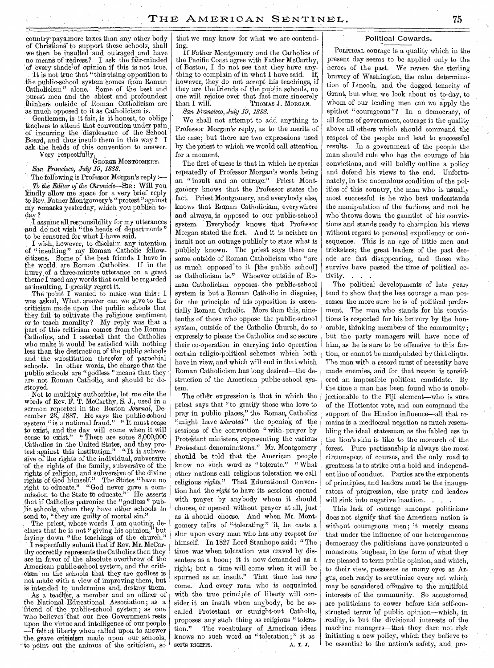country payamore taxes than any other body of Christians to support these schools, shall we then be insulted and outraged and have no means of redress? I ask the fair-minded of every shade 'of opinion if this is not true.

It is not true that "this rising opposition to the public-school system comes from Roman Catholicism" alone. Some of the best and purest men and the ablest and profoundest thinkers outside of Roman Catholicism are as much opposed to it as Catholicism is.

Gentlemen, is it fair, is it honest, to oblige teachers to attend that convention under pain of incurring the displeasure of the School Board, and thus insult them in this way? I ask the heads of this convention to answer. ask ,the heads of this convention to answer. Very respectfully,

GEORGE MONTGOMERY.

*San Francisco, July 19, 1888.* 

The following is Professor Morgan's reply :-To *the Editor of the Chronicle—SIR:* Will you kindly allow me space for a very brief reply to Rev. Father Montgomery's " protest " against thy remarks yesterday; which you publish today?

assume all responsibility for my utterances and  $d\alpha$  not wish "the heads of departments" to be censured for what I have said.

wish, however, to disclaim any intention of " insulting " my Roman ,Catholic fellowcitizens. Some of the best friends I have in the world are Roman Catholics. If in the hurry of a three-minute utterance on a great theme I used any words that could be regarded as insulting,  $\Gamma$  greatly regret it.

The point I wanted to make was this: I was asked, What answer can we give to the criticism made upon the public schools that they fail to cultivate the religious sentiment or to teach morality ? My reply was that a part of this criticism comes from the Roman Catholics, and I asserted that the Catholics who make it would be satisfied with nothing less than the destruction of the public schools and the substitution therefor of parochial schools. In other words, the charge that the public schools are "godless" means that they  $\mid$ are not Roman Catholic, and should be destroyed.

Not to multiply authorities, let me cite the words of Rev. F. T. McCarthy, S. J., used in a sermon reported in the Boston *Journal,* December 23, 1887. He says the public-school system "is a national fraud." " It must cease to exist, and the day will come when it will cease to exist." " There are some 8,000,000 Catholics in the United States, and they protest against this institution." "It is subversive of the rights of the individual, subversive of the rights of the family, subversive of the rights of religion, and subversive of the divine rights of God himself." The States "have no right to educate." "God never gave a commission to the State to educate." He asserts that if Catholics patronize the "godless" public schools, when they have other schools to send to, "they are guilty of mortal sin."

The priest, whose words I am quoting, de-<br>ares that he is not "giving his opinion," but clares that he is not " giving his opinion," laying down "the teachings of the church."

I respectfully submit that if Rev. Mr. McCarthy correctly represents the Catholics then they are in favor of the absolute overthrow of the American public-school system, and the criticism on the schools that they are godless is not made with a view of improving them, but is intended to undermine and. destroy them.

As a teacher, a member and an officer of the National Educational Association; as a friend of the public-school system; as one who believes that our free Government rests upon the virtue and intelligence of our people —I felt at liberty when called upon to answer the grave criticism made upon our schools, -to point out the animus of the criticism, so

that we may know for what we are contending.

If Father Montgomery and the Catholics of the Pacific Coast agree with Father McCarthy, of Boston, I do not see that they have anything to complain of in what I have said. If, however, they do not accept his teachings, if they are the friends of the public schools, no one will rejoice over that fact more sincerely<br>than I will. Thomas J. Morgan. THOMAS J. MORGAN.

*San Francisco, July 19, 1888.* 

We shall not attempt to add anything to Professor Morgan's' reply, as to the merits of the case; but there are two expressions used by the priest to which we would call attention for a moment.

The first of these is that in which he speaks repeatedly of Professor Morgan's words being an " insult and an outrage." Priest Montgomery knows that the Professor states the fact. Priest Montgomery, and everybody else, knows that Roman Catholicism, everywhere and always, is opposed to our public-school system. Everybody knows that Professor Morgan stated the fact. And it is neither an insult nor an outrage publicly to state what is publicly known. The priest says there are some outside of Roman Catholicism who "are as much opposed' to it [the public school] as Catholicism is." Whoever outside of Roman Catholicism opposes the public-school system is but a Roman Catholic in disguise, for the principle of his opposition is essentially Roman Catholic. More than this, ninetenths of those who oppose the public-school system, outside of the Catholic Church, do so expressly to please the Catholics and so secure their co-operation in carrying into operation certain religio-political schemes which both have in view, and which will end in that which Roman Catholicism has long desired—the destruction of the American public-school system.

The other expression is that in which the priest says that "to gratify those who love to pray in public places," the Roman, Catholics "might have *tolerated*" the opening of the sessions of the convention " with prayer by Protestant ministers, representing the various Protestant denominations." Mr. Montgomery should be told that the American people know no such word as "tolerate." " What other nations call religious toleration we call religious *rights."* That Educational Convention had the *right* to have its sessions opened with prayer by anybody whom it should choose, or opened without prayer at all, just as it should choose. And when Mr. Montgomery talks of "tolerating " it, he casts a slur upon every man who has any respect for' himself. In 1827 Lord Stanhope said: " The time was when toleration was craved by dissenters as a boon; it is now demanded as a right; but a time will come when it will be spurned as an insult." That time has *now*  come. And every man who is acquainted with the true principle of liberty will consider it an insult when anybody, be he socalled Protestant or straight-out Catholic, proposes any such thing as religious "toleration." The vocabulary of American ideas knows no such word as "toleration;" it as-<br>serts RIGHTS.  $A. T. J.$ serts RIGHTS.

#### Political Cowards.

POLITICAL courage is a quality which in the present day seems to be applied only to the heroes of the past. We revere the sterling bravery of Washington, the calm determination of Lincoln, and the dogged tenacity of Grant, but when we look about us to-day, to whom of our leading men can we apply the epithet " courageous "? In a democracy, of all forms of government, courage is the quality above all others which should command the respect of the people and lead to successful results. In a government of the people the man should rule who has the courage of his convictions, and will boldly outline a policy and defend his views to the end. Unfortunately, in the anomalous condition of the politics of this country, the man who is usually most successful is he who best understands the manipulation of the factions, and not he who throws down the gauntlet of his convictions and stands ready to champion his views without regard to personal expediency or consequence. This is an age of little men and tricksters; the great leaders of the past decade are fast disappearing, and those who survive have passed the time of political activity.

The political developments of late years tend to show that the less courage a man possesses the more sure he is of political preferment. The man who stands for his convictions is respected for his bravery by the honorable, thinking members of the community; but the party managers will have none of him, as he is sure to be offensive to this faction, or cannot be manipulated by that clique. The man with a record must of necessity have made enemies, and for that reason is considered an impossible political candidate. By the time a man has been found who is unobjectionable to the Fiji element—who is sure of the Hottentot vote, and can command the support of the Hindoo influence—all that remains is a mediocral negation as much resembling the ideal statesman as the fabled ass in the lion's skin is like to the monarch of the forest. Pure partisanship is always the most circumspect of courses, and the only road to greatness is to strike out a bold and independent line of conduct. Parties are the exponents of principles, and leaders must be the inaugurators of progression, else party and leaders will sink into negative inaction. . .

This lack of courage amongst politicians does not signify that the American nation is without courageous men; it merely means that under the influence of our heterogeneous democracy the politicians have constructed a monstrous bugbear, in the form of what they are pleased to term public opinion, and which, to their view, possesses as many eyes as Argus, each ready to scrutinize every act which may be considered offensive to the multifold interests of the community. So accustomed are politicians to cower before this self-constructed terror of public opinion—which, in reality, is but the divisional interests of the machine managers—that they dare not risk initiating a new policy, which they believe to be essential to the nation's safety, and pro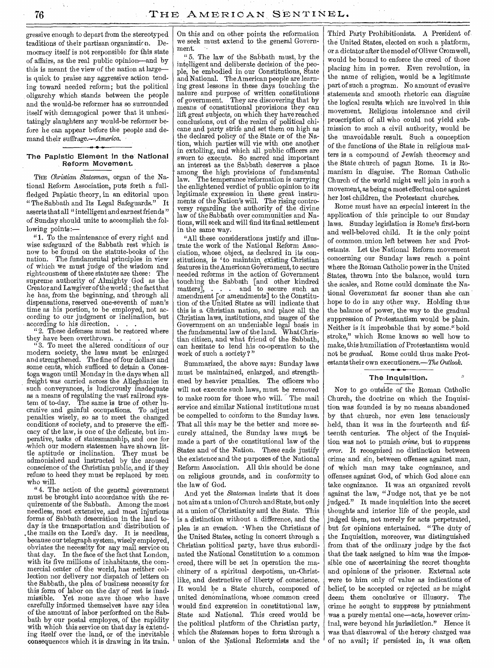gressive enough to depart from the stereotyped traditions of their partisan organization. Democracy itself is not responsible for this state of affairs, as the real public opinion—and by this is meant the view of the nation at large is quick to praise any aggressive action tending toward needed reform; but the political oligarchy which stands between the people and the would-be reformer has so surrounded itself with demagogical power that it unhesitatingly slaughters any would-be reformer before he can appear before the people and demand their suffrage.---America.

#### The Papistic Element in the National Reform Movement.

THE *Christian Statesman,* organ of the National Reform Association, puts forth a fullfledged Papistic theory, in an editorial upon "The Sabbath and Its Legal Safeguards." It asserts that all " intelligent and earnest friends " of Sunday should unite to accomplish the following points:-

"1. To the maintenance of every right and wise safeguard of the Sabbath rest which is now to be found on the statute-books of the nation. The fundamental principles in view of which we must judge of the wisdom and righteousness of these statutes are these : The supreme authority of Almighty God as the Creator and Lawgiver of the world; the fact that he has, from the beginning, and through all dispensations, reserved one-seventh of man's time as his portion, to be employed, not according to our judgment or inclination, but according to his direction.

"2. These defenses must be restored where they have been overthrown.

" 3. To meet the altered conditions of our modern society, the laws must be enlarged and strengthened. The fine of four dollars and some cents, which sufficed to detain a Conestoga wagon until Monday in the days when all freight was carried across the Alleghanies in such conveyances, is ludicrously inadequate as a means of regulating the vast railroad system of to-day. The same is true of other lucrative and gainful occupations. To adjust penalties wisely, so as to meet the changed conditions of society, and to preserve the efficacy of the law, is one of the delicate, but imperative, tasks of statesmanship, and one for which our modern statesmen have shown little aptitude or inclination. They must be admonished and instructed by the aroused conscience of the Christian public, and if they refuse to heed they must be replaced by men who will.

"4. The action of the general government must be brought into accordance with the requirements of the Sabbath. Among the most needless, most extensive, and most injurious forms of Sabbath desecration in the land today is the transportation and' distribution of the mails on the Lord's day. It is needless, because our telegraph system, wisely employed, obviates the necessity for any mail service on that day. In the face of the fact that London, with its five millions of inhabitants, the commercial center of the world, has neither collection nor delivery nor dispatch of letters on the Sabbath, the plea of business necessity for this form of labor on the day of rest is inad-<br>missible. Yet none save those who have Yet none save those who have carefully informed themselves have any idea of the amount of labor perforfned on the Sabbath by our postal employes, of the rapidity with which this service on that day is extending itself over the land, or of the inevitable consequences which it is drawing in its train.

On this and on other- points the reformation we seek must extend to the general Government.

" 5. The law of the Sabbath must, by the intelligent and deliberate decision of the people, be embodied in our Constitutions, State and National. The American people are learning great lessons in these days touching the nature and purpose of written constitutions of government. They are discovering that by means of constitutional provisions they can lift great subjects, on which they have reached conclusions, out of the realm of political chicane and party strife and set them on high as the declared policy of the State or of the Nation, which parties will vie with one another in extolling, and which all, public officers are sworn to execute. So sacred and important an interest as the Sabbath deserves a place among the high provisions of fundamental law. The temperance reformation is carrying the enlightened verdict of public opinion to its legitimate expression in these great instruments of the Nation's will. The rising controversy regarding the authority of the divine law of the Sabbath over communities and Nations, will seek and will find its final settlement in the same way.

"All these considerations justify and illustrate the work of the National Reform Association, whose object, as declared in its constitutions, is 'to maintain existing Christian features in the American Government, to secure needed reforms in the action of Government touching the Sabbath [and other kindred matters], . . . and to secure such an amendment [or amendments] to the Constitution of the United States as will indicate that this is a Christian nation, and place all the Christian laws, institutions, and usages of the Government on an undeniable legal basis in the fundamental law of the land. What Christian citizen, and what friend of the Sabbath, can hesitate to lend his co-operation to the work of such a society?'

Summarized, the above says : Sunday laws must be maintained, enlarged, and strengthened by heavier penalties. The officers who will not execute such laws, must be removed to make room for those who will. The mail service and similar National institutions must be compelled to conform to the Sunday laws. That all this may be the better and more securely attained, the Sunday laws must be made a part of the constitutional law of the States and of the Nation. These ends justify the existence and the purposes of the National Reform Association. All this should be done on religious grounds, and in conformity to the law of God.

And yet the *Statesman* insists that it does not aim at a union of Church and State, but only at a union of Christianity and the State. This is a distinction without a difference, and the plea is an evasion. \*When the Christians of the United States, acting in concert through a Christian political party, have thus subordinated the National Constitution to a common creed, there will be set in operation the machinery of a spiritual despotism, un-Christlike, and destructive of liberty of conscience. It would be a State church, composed of united denominations, whose \_common creed would find expression in constitutional law, State and National. This creed would be the political platform of the Christian party, which the *Statesman* hopes to form through a union of the National Reformists and the

Third Party Prohibitionists. A President of the United States, elected on such a platform, or a dictator after the model of Oliver Cromwell, would be bound to enforce the creed of those placing him in power. Even revolution, in the name of religion, would be a legitimate part of such a program. No amount of evasive statements and smooth rhetoric can disguise the logical results which are involved in this movement. Religious intolerance and civil proscription of all who could not yield submission to such a civil authority, would be the unavoidable result. Such a conception of the functions of the State in religious matters is a compound of Jewish theocracy and the State church of pagan Rome. It is Romanism in disguise. The Roman Catholic Church of the world might well join in such a movement, as being a most effectual one against . her lost children, the Protestant churches.

Rome must have an especial interest in the application of this principle to our Sunday laws. Sunday legislation is Rome's first-born and well-beloved child. It is the only point of common.union left between her and Protestants. Let the National Reform movement concerning our Sunday laws reach a point where the Roman Catholic power in the United States, thrown into the balance, would turn the scales, and Rome could dominate the National Government far sooner than she can hope to do in any other way. Holding thus the balance of power, the way to the gradual suppression of Protestantism would be plain. Neither is it improbable that by some-" bold stroke," which Rome knows so well how to make, this humiliation of Protestantism would not be *gradual.* Rome could thus make Protestants their own executioners.— *The Outlook.* 

#### The Inquisition.

NOT to go outside of the Roman Catholic Church, the doctrine on which the Inquisition was founded is by no means abandoned by that church, nor even less tenaciously held, than it was in the fourteenth and fifteenth centuries. The object of the Inquisition was not to punish *crime,* but to suppress *error.* It recognized no distinction between crime and sin, between offenses against man, of which man may take cognizance, and offenses against God, of which God alone can take cognizance. It was an organized revolt against the law, "Judge not, that ye be not judged." It made inquisition into the secret thoughts and interior life of the people, and judged them, not merely for acts perpetrated, but for opinions entertained. "The duty of the Inquisition, moreover, was distinguished from that of the ordinary judge by the fact that the task assigned to him was the impossible one of ascertaining the secret thoughts and opinions of the prisoner. External acts were to him only of value as indications of belief, to be accepted or rejected as he might deem them conclusive or illusory. The crime he sought to suppress by punishment was a purely mental one—acts, however criminal, were beyond his jurisdiction." Hence it was that disavowal of the heresy charged was of no avail; if persisted in, it was often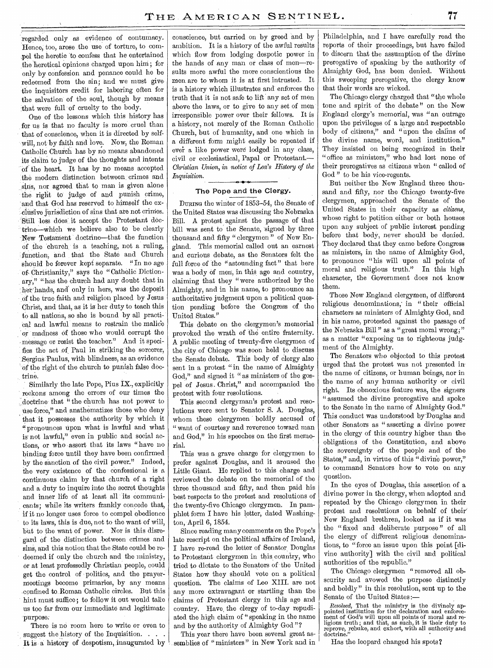regarded only as evidence of contumacy. Hence, too, arose the use of torture, to compel the heretic to confess that he entertained the heretical opinions charged upon him; for only by confession and penance could he be redeemed from the sin; and we must givethe inquisitors credit for laboring often for the salvation of the soul, though by means :that were full of cruelty to the body.

One of the lessons which this history has for us is that no faculty is more cruel than that of conscience, when it is directed by selfwill, not by faith and love. Now, the Roman Catholic Church has by no means abandoned its claim to judge of the thoughts and intents of the heart. It has by no means accepted the modern distinction between. crimes and sins, nor agreed that to man is given alone the right to judge of and punish crime, 'and that God has reserved to himself the exclusive jurisdiction of sins that are not crimes. Still less does it accept the Protestant doctrine—which we believe also to be clearly New Testanient doctrine—that the function of the church is a teaching, not a ruling, function, and that the State and Church should be forever kept separate. "In no age of, Christianity," says the "Catholic Dictionary," "has the church had any doubt that in her'hands, and' only in hers, was the deposit of the true faith and religion placed by Jesus Christ, and that, as it is her duty to teach this to all nations, so she is bound by all practical and lawful means to restrain the malice 'or madness of those who would corrupt the message or resist the teacher." And it specifies the act of Paul in striking the sorcerer, Sergius Paulus, with blindness, as an evidence of the right of the church to punish false doctrine.

Similarly the late Pope, Pius IX., explicitly reckons among the errors of our times the 'doctrine- that "the church has not power to use force," and anathematizes those who deny that it possesses the authority by which it "pronounces upon what is lawful and what is not lawful," even in public and social actions, or who assert that its laws "have no binding force until they have been confirmed by the sanction of the civil power." Indeed, the very existence of the confessional is a continuous claim by that church of a right and a duty to inquire into the secret thoughts and inner life of at least all its communicants; while its writers frankly concede that, if it no longer uses force to compel obedience to its laws, this is due, not to the want of will, but to the want of power. Nor is this disregard of the distinction between crimes and sins, and this notion that the State could be redeemed if only the church and, the ministry, or at least professedly Christian people, could get the control of politics, and the prayermeetings become primaries, by any means -confined to. Roman Catholic circles. But this hint must suffice; to follow it out would take us too far from our immediate and legitimate purpose;

There is no room here to write or even to suggest the history of the Inquisition. . . . It is a history of despotism, inaugurated by

conscience, but carried on by greed and by ambition. It is a history of the awful results which flow from lodging despotic power in the hands of any man or class of men—results more awful the more conscientious the men are to whom it is at first intrusted. It is a history which illustrates and enforces the truth that it is not safe to lift any set of men above the laws, or to give to any set of men irresponsible power over their fellows. It is a history, not merely of the Roman Catholic Church, but of humanity, and one which in a different form might easily be repeated if ever a like power were lodged in any class, civil or ecclesiastical, Papal or Protestant. *— Christian Union, in notice of Lea's History of the Inquisition.* 

#### The Pope and the Clergy.

DURING the winter of 1853-54, the Senate of the United States was discussing the Nebraska Bill. A protest against the passage of that bill was sent to the Senate, signed by three thousand and fifty " clergymen" of New England. This memorial called out an earnest and curious debate, as the Senators felt the full force of the "astounding fact" that here was a body of men, in this age and country, claiming that they "were authorized by the Almighty, and in his name, to pronounce an authoritative judgment upon a political question pending before the Congress of the United States."

This debate on the clergymen's memorial provoked the wrath of the entire fraternity. A public meeting of twenty-five clergymen of the city of Chicago was soon held to discuss the Senate debate. This body of clergy also sent in a protest "in the name of Almighty God," and signed it " as ministers of the gospel of Jesus. Christ," and accompanied the protest with four resolutions.

This second clergyman's protest and resolutions were sent to Senator S. A. Douglas, whom these clergymen boldly accused of " want of courtesy and reverence toward man and God," in his speeches on the first memorial.

This was a grave charge for clergymen to prefer against Douglas, and it aroused the Little Giant. He replied to this charge and reviewed the debate on the memorial of the three thousand and fifty, and then paid his best respects to the protest and resolutions of the twenty-five Chicago clergymen. In pamphlet form I have his letter, dated Washington, April 6, 1854.

Since reading many comments on the Pope's late rescript on the political affairs of Ireland, I have re-read the letter of Senator Douglas to Protestant clergymen in this country, who tried to dictate to the Senators of the United States how they should vote on a political question. The claims of Leo XIII. are not any more extravagant or startling than the claims of Protestant Clergy in this age and country. Have the clergy of to-day repudiated the high claim of "speaking in the name and by the authority of Almighty God "?

This year there have been several great assemblies of "ministers" in New York and in Philadelphia, and I have carefully read the reports of their proceedings, but have failed to discern that the assumption of the divine prerogative of speaking by the authority of Almighty God, has been denied. Without this sweeping prerogative, the clergy know that their words are wicked.

The Chicago clergy charged that "the whole tone and spirit of the debate" on the New England clergy's memorial, was "an outrage upon the privileges of a large and respectable body of citizens," and "upon the claims of the divine name, word, and institution." They insisted on being recognized in their "office as ministers," who had lost none of their prerogatives as citizens when " called of God" to be his vice-regents.

But neither the New England three thousand and fifty, nor the Chicago twenty-five clergymen, approached the Senate of the United States in their capacity as *citizens,*  whose right to petition either or both houses upon any subject of public interest pending before that body, never should be denied. They declared that they came before Congress as ministers, in the name of Almighty God, to pronounce "his will upon all points of moral and religious truth." In this high character, the Government does not know them.

Those New England clergymen, of different religious denominations,' in " their official characters as ministers of Almighty God, and in his name, protested against the passage of the Nebraska Bill" as a "great moral wrong;" as a matter "exposing us to righteous judgment of the Almighty.

The Senators who objected to this protest urged that the protest was not presented in the name of citizens, or human beings, nor in the name of any human authority or civil right. Its obnoxious feature was, the signers " assumed the divine prerogative and spoke to the Senate in the name of Almighty God." This conduct was understood by-Douglas and other Senators as " asserting a divine power in the clergy of this country higher than the obligations of the Constitution, and above the sovereignty of the people and of the States," and, in virtue of this " divine power," to command Senators how to vote on any question.

In the eyes of Douglas, this assertion of a divine power in the clergy, when adopted and repeated by the Chicago clergymen in their protest and resolutions on behalf of their' New England brethren, looked as if it was the "fixed and deliberate purpose" of all the clergy of different religious denominations, to "force an issue upon this point [divine authority] with the civil and political authorities of the republic."

The Chicago clergymen "removed all obscurity and avowed the purpose distinctly and boldly" in this resolution, sent up to the Senate of the United *States:—* 

Resolved, That the ministry is the divinely appointed institution for the declaration and enforcement of God's will upon all points of moral and re-<br>ligious truth; and that, as such, it is their duty to<br>reprove, rebuke, an  $\det$ rine."

Has the leopard changed his spots?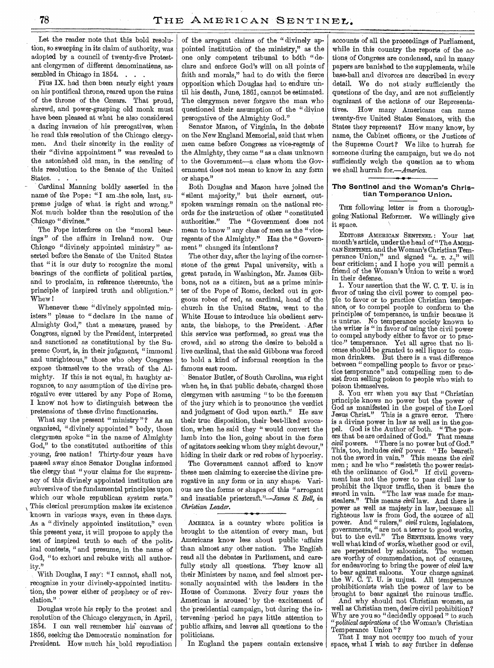Let the reader note that this bold resolution, so sweeping in its claim of authority, was adopted by a council of twenty-five Protestant clergymen of different denominatiens, assembled in Chicago in 1854. . . .

Pius IX. had then been nearly eight years on his pontifical throne, reared upon the ruins of the throne of the Cæsars. That proud, shrewd, and power-grasping old monk must have been pleased at what he also considered a daring invasion of his prerogatives, when he read this resolution of the Chicago clergymen. And their sincerity in the reality of their "divine appointment " was revealed to the astonished old man, in the sending of this resolution to the Senate of the United States.

Cardinal Manning boldly asserted in the name of the Pope: "I am the sole, last, supreme judge of what, is right and wrong." Not much bolder than the resolution of the Chicago " divines."

The Pope interferes on the "moral bearings" of the affairs in Ireland now. Our Chicago "divinely appointed ministry" asserted before the Senate of the United States that "it is our duty to recognize the moral bearings of the conflicts of political parties, and to proclaim, in reference thereunto, the principle of inspired truth and obligation." Whew I

Whenever these "divinely appointed ministers" please to "declare in the name of Almighty God," that a measure, passed by Congress, signed by the President, interpreted and sanctioned as constitutional by the Supreme Court, is, in their judgment, "immoral and unrighteous," those who obey Congress expose themselves to the wrath of the Almighty. If this is not equal, in haughty arrogance, to any assumption of the divine prerogative ever uttered by any Pope of Rome, I know not how to distinguish between the pretensions of these divine functionaries.

What say the present "ministry"? As an organized, "divinely appointed" body, those clergymen spoke "in the name of Almighty God," to the constituted authorities of this young, free nation! Thirty-four years have passed away since Senator Douglas informed the clergy that " your claims for the supremacy of this divinely appointed institution are subversive of the fundamental principles upon which our whole republican system rests." This clerical presumption makes its existence known in various ways, even in these days. As a "divinely appointed institution," even this present year, it will propose to apply the test of inspired truth to each of the political contests, " and presume, in the name of God, "to exhort and rebuke with all authority."

With Douglas, I say: "I cannot, shall not, recognize in your divinely-appointed institution, the power either of prophecy or of revelation."

Douglas wrote his reply to the protest and resolutibn of the Chicago clergymen, in April, 1854. I can well remember his canvass of 1856, seeking the Democratic nomination for President. How much his bold repudiation of the arrogant claims of the " divinely appointed institution of the ministry," as the one only competent tribunal to both "declare and enforce God's will on all points of faith and morals," had to do with the fierce opposition which Douglas had to endure until his death, June, 1861, cannot be estimated. The clergymen never forgave the man who questioned their assumption of the " divine prerogative of the Almighty God."

Senator Mason, of Virginia, in the debate on the New England Memorial, said that when men came before Congress as vice-regents of the Almighty, they came "as a class unknown to the Government—a class whom the Government does not mean to know in any, form or shape."

Both Douglas and Mason have joined the "silent majority," but their earnest, outspoken warnings remain on the national records for the instruction of other "constituted authorities." The " Government does not mean to know" any class of men as the "viceregents of the Almighty." Has the " Government" changed its intentions?

The other day, after the laying of the cornerstone of the great Papal university, with a great parade, in Washington, Mr. James Gibbons, not as a citizen, but as a prime minister of the Pope of Rome, decked out in gorgeous robes of red, as cardinal, head of the church in the United States, went to the White House to introduce his obedient servants, the bishops, to the President. After this service was performed, so great was the crowd, and so strong the desire to behold a live cardinal, that the said Gibbons was forced to hold a kind of informal reception in the famous east' room.

Senator Butler, of South Carolina, was right when he, in that public debate, charged those clergymen with assuming "to be the foremen of the jury which is to pronounce the verdict and judgment of God upon earth." He saw their true disposition, their best-liked avocation, when he said they " would convert the lamb into the lion, going about in the form of agitators seeking whom they might devour," hiding in their dark or red robes of hypocrisy.

The Government cannot afford to know these men claiming to exercise the divine prerogative in any form or in any shape: Various are the forms or shapes of this "arrogant and insatiable priestcraft."—James *S. Bell, in Christian Leader.* 

AMERICA is a country where politics is brought to the attention of every man, but Americans know less about public affairs than almost any other nation. The English read all the debates in Parliament, and carefully study all questions. They know all their Ministers by name, and feel almost personally acquainted with the leaders in the House of Commons. Every four years the American is aroused' by the excitement of the 'presidential campaign, but daring the intervening period he pays little attention to public affairs, and leaves all questions to the politicians.

In England the papers contain extensive

accounts of all the proceedings of Parliament, while in this country the reports of the actions of Congress are condensed, and in many papers are banished to the supplements, while base-ball and divorces are described in every detail. We do not study sufficiently the questions of the day, and are not sufficiently cognizant of the actions of our Representa-<br>tives. How many Americans can name How many Americans can name twenty-five United States Senators, with the States they represent? How many know, by name, the Cabinet officers, or the Justices of the Supreme Court? We like to hurrah for someone during the campaign, but we do not sufficiently weigh the question as to whom we shall hurrah *fon—America.* 

#### The Sentinel and the Woman's Christian Temperance Union.

THE following letter is from a thoroughgoing National Reformer. We willingly give it space.

EDITORS AMERICAN SENTINEL : Your last month's article, under the head of " The AMERI-CAN SENTINEL and the Woman's Christian Temperance Union," and signed "A. T. J.," will bear criticism; and I hope you will permit a friend of the Woman's Union to write a word in their defense.

1. Your assertion that the W. C. T. U. is in favor of using the civil power to compel people to favor or to practice Christian temperance, or to compel people to conform to the principles of temperance, is unfair because it is untrue. No temperance society known to the writer is " in favor of using the civil power to compel anybody either to favor or to practice," temperance. Yet all agree that no license should be granted to sell liquor to common drinkers. But there is a vast difference between "compelling people to favor or practice temperance" and compelling men to desist from selling poison to people who wish to poison themselves.

3. You err when you say that "Christian principle knows no power but the power of God as manifested in the gospel of the Lord Jesus Christ." This is a grave error. is a divine power in law as well as in the gos-<br>pel. God is the Author of both. "The powpel. God is the Author of both. "The powers that be are ordained of God." That means *civil* powers. "There is no power but of God." This, too, includes *civil* power. " He beareth not the sword in vain." This means the *civil*  men ; and he who " resisteth the power resisteth the ordinance of God." If civil government has not the power to pass civil law to prohibit the liquor traffic, then it bears the sword in vain. "The law was made for manstealers." This means *civil* law. And there is power as well as majesty in law, because all righteous law is from God, the source of all power. And " rulers," *civil* rulers, legislators, governments, " are not a terror to good works, but to the evil." The SENTINEL knows very well what kind of works, whether good or evil, are perpetrated by saloonists. The women are worthy of commendation, not of censure, for endeavoring to bring the power of *civil* law to bear against saloons. Your charge againstthe W. C. T. U. is unjust. All temperance prohibitionists wish the power of law to be brought to bear against the ruinous traffic.

And why should not Christian women, as well as Christian men, desire civil prohibition? Why are you so "decidedly opposed " to such *"political aspirations* of the Woman's Christian Temperance Union"?

That I may not occupy too much of your space, what I wish to say further in defense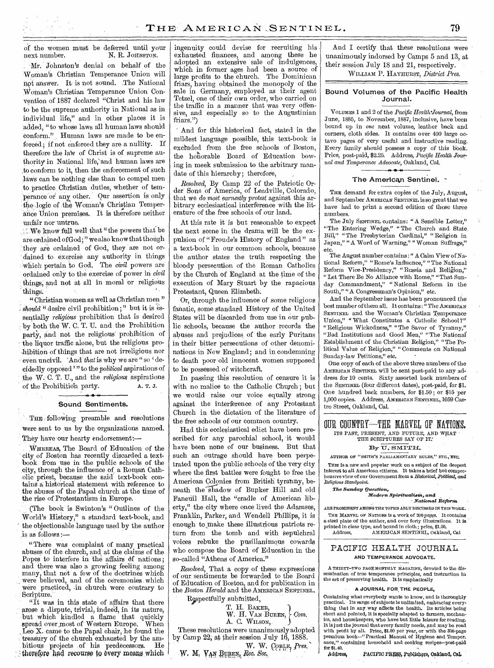Of the women must be deferred until your next number. N. R. JOHNSTON.

-Mr. Johnston's denial on behalf of the Woman's Christian Temperance Union will not answer. It is not sound. The National Woman's Christian Temperance Union Convention of 1887 declared "Christ and his law to be the supreme authority in National as in individual life," and in other places it is added, "to whose laws all human laws should conform." Human laws are made to be enforced; if not enforced they are a nullity. If therefore the law of Christ is of supreme authority in National life, and human laws are to conform to it, then the enforcement of such Jamis can be nothing else than to compel men to practice Christian duties, whether of temperance or any other. Our assertion is only the-logic of the Woman's Christian Temperance Union premises. It is therefore neither unfair nor untrue.

We know full well that "the powers that be are ordained of God;" we also know that though they are ordained of God, they are not or dained to exercise any authority in things which pertain to God. The *civil* powers are ordained only to the exercise of power in *civil*  things, and not at all in moral or religious things.

" Christian women as well as Christian men "  $s_{bound}$ <sup>u</sup> desire civil prohibition;" but it is essentially *religious* prohibition that is desired by both the W. C. T. U. and the Prohibition party, and not the religious' prohibition of the liquor traffic alone, but the religious pro-4fibition of things that are not irreligious nor even uncivil. `And that is why we are "so 'decidedly opposed'"to the *political* aspirations of the W.: C. T. U., and the *religious* aspirations of the Prohibition party. A. T. J.

#### **• 4.**  Sound Sentiments.

THE following preamble and resolutions were sent to us by the organizations named. They have our hearty endorsement:—

WHEREAS, The Board of Education of the city of Boston has recently discarded a textbook from use in the public schools of the city, through the influence of a Roman Catholic priest, because the said' text-book contains a historical statement with reference to the abuses of the Papal church at the time of the rise of Protestantism in Europe.

(The book is Swinton's "Outlines of the World's History," a standard text-book, and ' the objectionable language used by the author is as follows :—

"There was complaint of many practical abuses of the church, and at the claims of the Popes to interfere in the affairs df nations ; and there was also a growing feeling among many, that not a few of the doctrines which were believed, and of the ceremonies, which were practiced, in church were contrary to Scripture.

"It was in this state of affairs that there arose a dispute, trivial, indeed, in its nature, but which kindled a flame that quickly<br>spread over most of Western Europe. When spread over most of Western Europe. Leo X. came to the Papal chair, he found the treasury of the church exhausted, by the am-<br>bitious projects of his predecessors. He bitious projects of his predecessors. therefore had recourse to every means which ingenuity could devise for recruiting his exhausted finances, and among these he adopted an extensive sale of indulgences, which in former ages had been a source of large profits to the church. The Dominican friars, having obtained the monopoly of the sale in Germany, employed as their agent Tetzel, one of their own order, who carried on the traffic in a manner that was very offensive, and especially so to the Augustinian friars.")

' And for this historical fact, stated in the mildest language possible, this text-book is excluded from the free schools of Boston, the honorable Board of Education bowing in meek submission to the arbitrary mandate of this hierarchy; therefore,

*Resolved,* By Camp 22 of the Patriotic Order• Sons of America, of Leadville, Colorado, that we *do most earnestly protest* against this arbitrary ecclesiastical interference with the literature of the free schools of our land.

At this rate it is but reasonable to expect the next scene in the drama will be the expulsion of "Froude's History of England" as a text-book in our common schools, because the author states the truth respecting the bloody persecution of the Roman Catholics by the Church of England at the time of the execution of Mary Stuart by the rapacious Protestant, Queen Elizabeth,

Or, through the influence of some religious fanatic, some standard History of the United States will be discarded from use in our public schools, because the author records the abuses and prejudices of the early Puritans in their bitter persecutions of other denominations in New England; and in condemning to death poor old innocent women supposed to be possessed of witchcraft.

In passing this resolution of censure it is with no malice to the Catholic Church ; but we would raise our voice equally strong against the interference of any Protestant Church in the dictation of the literature of the free schools of our common country.

Had this ecclesiastical edict have been prescribed for any parochial school, it would have been none of our business. But that such an outrage should have been perpetrated upon the public schools of the very city where the first battles were fought to free the American Colonies from British tyranny, beneath the shadow of Bunker Hill and old Faneuil Hall, the "cradle of American liberty," the city where once lived the Adamses, Franklin, Parker, and Wendell Phillips, it is enough to make these illustrious patriots return from the tomb and with sepulchral voices rebuke the pusillanimous cowards who compose the Board of Education in the so-called "Athens of America."

*Resolved,* That a copy of these expressions of our sentiments be forwarded to the Board of Education of Boston, and for publication in the *Boston Herald* and the AMERICAN SENTINEL.

Respectfully submitted, T. H. BAKER,

W. H. VAN BUREN,  $\{ Com.$ A. C. WILSON,

These resolutions were unanimously adopted by Camp 22, at their session July 16, 1888.

W. W. COBLE, Pres.<br>W. M. VAN BUREN, Rec. Sec.

And I certify that these resolutions were unanimously indorsed by Camps 5 and 13, at their session July 18 and 21, respectively. WILLIAM P. HAYHURST, *District Pres.* 

#### Bound Volumes of the Pacific Health Journal.

VOLUMES 1 and 2 of the *Pacific HealtleJournal,* from June, 1885, to November, 1887, inclusive, have been bound up in *one* neat volume, leather back and corners, cloth sides. It contains over 400 large octavo pages of very useful and instructive reading. Every family should possess a copy of this book. Price, post-paid, \$2.25. Address, *Pacific Health Journal and Temperance Advocate*, Oakland, Cal.

#### The American Sentinel. -

THE demand for extra copies of the July, August, and September AMERICAN SENTINEL is so great that we have had to print a second edition of those three numbers.

The July SENTINEL contains: "A Sensible Letter," "The Entering Wedge," "The Church and State, Bill," " The Presbyterian Cardinal," " Religion in Japan," "A Word of Warning," "Woman Suffrage,"

etc. The August number contains : " A Calm View of National Reform," "Rome's Influence," "The National Reform Vice-Presidency," " Russia and Religion," "Let There Be No Alliance with Rome," "That Sunday Commandment," "National Reform in the South," "A Congressman's Opinion," etc.

And the September issue has been pronounced the best number of them all. It contains : "The AMERICAN SENTINEL and the Woman's Christian Temperance Union," " What Constitutes a Catholic School 7" "Religious Wickedness," "The Savor of Tyranny," "Bad Institutions and Good Men," "The National Establishment of the Christian Religion," "The Political Value of Religion," " Comments on National Sunday-law Petitions," etc.

One copy of each of the above three numbers of the AMERICAN SENTINEL will be sent post-paid to any address for 10 cents. Sixty assorted back numbers of the SENTINEL (four different dates), post-paid, for \$1. One hundred back numbers, for \$1.50; or \$15 per 1,000 copies. Address, AMERICAN SENTINEL, 1059 Castro Street, Oakland, Cal.

OUR COUNTRY-THE MARVEL OF NATIONS, ITS PAST, PRESENT, AND FUTURE, AND' WHAT

THE SCRIPTURES SAY OF IT. By U. SMITH.

# AUTHOR OF "SMITH'S PARLIAMENTARY RULES," ETC., ETC.

THIS is a new and popular work on a subject of the deepest interest to all American citizens. It takes a brief but comprehensive view of our Government from a *Historical, Political, and Religious Standpoint. The Sunday question,* 

# $Modenn$  Spiritualism, and

*• National lieforrn* 

ARE PROMINENT AMONG THE TOPICS ABLY DISCUSSED IN THIS WORE. THE MARVEL OF NATIONS is a work of *300 pages.* It contains a steel plate of the author, and over forty illustrations. It is printed in clear type, and bound in cloth ; price, \$1.00. Address, AMERICAN SENTINEL, Oakland, Cal

#### PACIFIC HEALTH JOURNAL AND **TEMPERANCE ADVOCATE.**

A THIRTY-TWO PAGE MONTHLY MAGAZINE, devoted to the dissemination of true temperance principles, and instruction in the art of preserving health. It is emphatically

#### **A JOURNAL FOR THE PEOPLE,**

Containing what everybody wants to know, and is thoroughly practical. Its range of subjects is unlimited, embracing everything that in any way affects the health. Its articles being short and pointed, it is specially adapted to farmers, mechan-ics, and housekeepers, who have but little leisure for reading. It is just the journal that every family needs, and may be read with profit by all. Price, \$1.00 per year, or with the 800-page premium book—" Practical Manual of Hygiene and Temperance," containing household and cooking recipes--post-paid for \$1.40.

Address, PACIFIC PRESS, Publishers, Oakland, Cal.